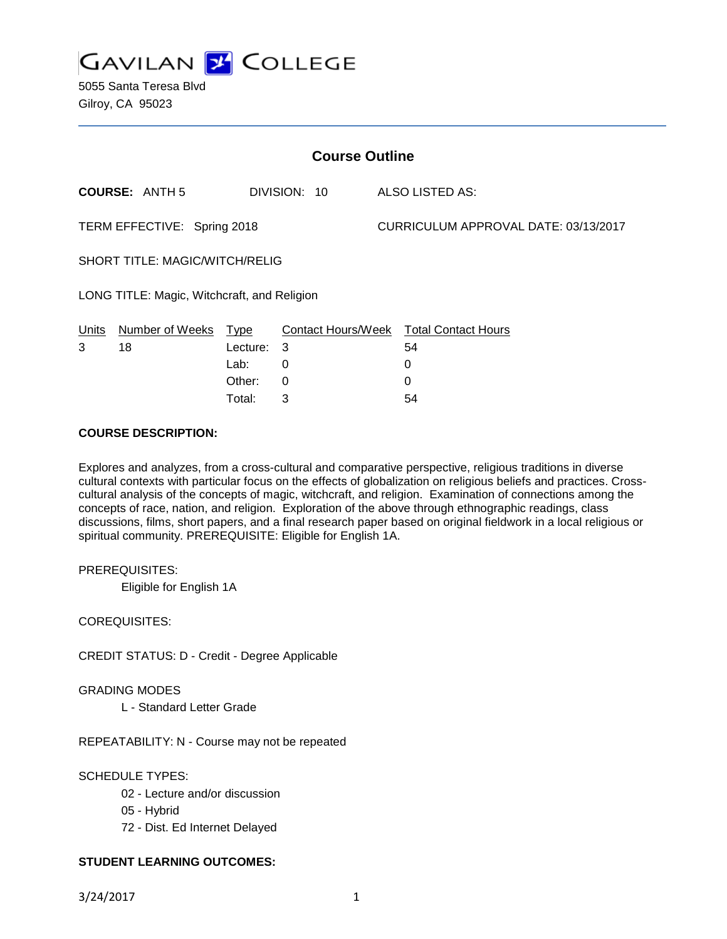

5055 Santa Teresa Blvd Gilroy, CA 95023

| <b>Course Outline</b>                       |                       |          |              |                                      |                                        |
|---------------------------------------------|-----------------------|----------|--------------|--------------------------------------|----------------------------------------|
|                                             | <b>COURSE: ANTH 5</b> |          | DIVISION: 10 |                                      | ALSO LISTED AS:                        |
| TERM EFFECTIVE: Spring 2018                 |                       |          |              | CURRICULUM APPROVAL DATE: 03/13/2017 |                                        |
| <b>SHORT TITLE: MAGIC/WITCH/RELIG</b>       |                       |          |              |                                      |                                        |
| LONG TITLE: Magic, Witchcraft, and Religion |                       |          |              |                                      |                                        |
| Units                                       | Number of Weeks Type  |          |              |                                      | Contact Hours/Week Total Contact Hours |
| 3                                           | 18                    | Lecture: | 3            |                                      | 54                                     |
|                                             |                       | Lab:     | 0            |                                      | 0                                      |
|                                             |                       | Other:   | 0            |                                      | 0                                      |

Total: 3 54

#### **COURSE DESCRIPTION:**

Explores and analyzes, from a cross-cultural and comparative perspective, religious traditions in diverse cultural contexts with particular focus on the effects of globalization on religious beliefs and practices. Crosscultural analysis of the concepts of magic, witchcraft, and religion. Examination of connections among the concepts of race, nation, and religion. Exploration of the above through ethnographic readings, class discussions, films, short papers, and a final research paper based on original fieldwork in a local religious or spiritual community. PREREQUISITE: Eligible for English 1A.

PREREQUISITES:

Eligible for English 1A

COREQUISITES:

CREDIT STATUS: D - Credit - Degree Applicable

GRADING MODES

L - Standard Letter Grade

REPEATABILITY: N - Course may not be repeated

# SCHEDULE TYPES:

- 02 Lecture and/or discussion
- 05 Hybrid
- 72 Dist. Ed Internet Delayed

# **STUDENT LEARNING OUTCOMES:**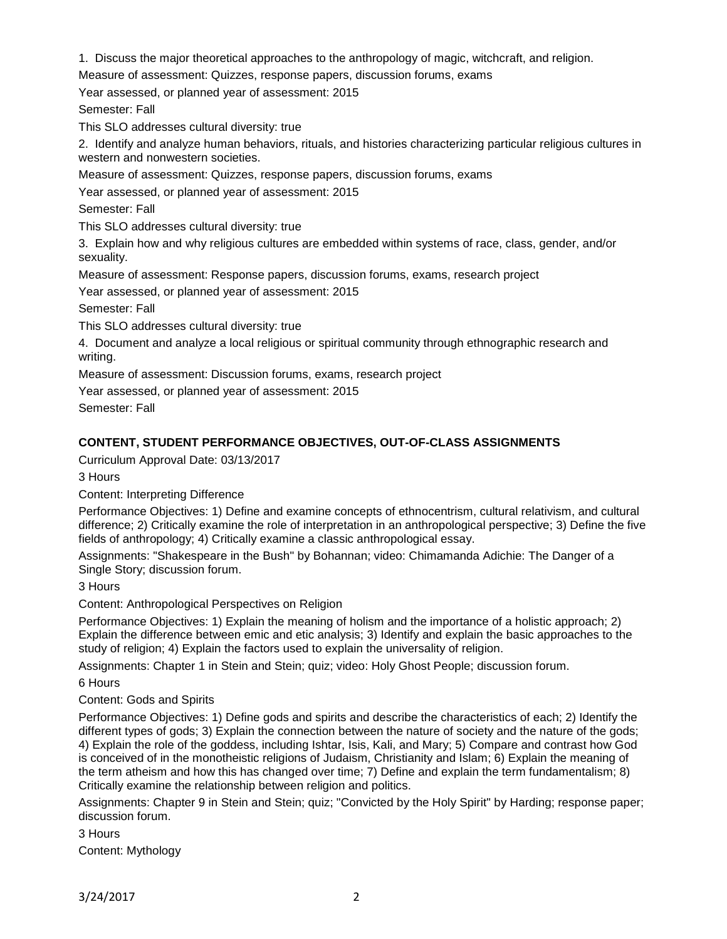1. Discuss the major theoretical approaches to the anthropology of magic, witchcraft, and religion.

Measure of assessment: Quizzes, response papers, discussion forums, exams

Year assessed, or planned year of assessment: 2015

Semester: Fall

This SLO addresses cultural diversity: true

2. Identify and analyze human behaviors, rituals, and histories characterizing particular religious cultures in western and nonwestern societies.

Measure of assessment: Quizzes, response papers, discussion forums, exams

Year assessed, or planned year of assessment: 2015

Semester: Fall

This SLO addresses cultural diversity: true

3. Explain how and why religious cultures are embedded within systems of race, class, gender, and/or sexuality.

Measure of assessment: Response papers, discussion forums, exams, research project

Year assessed, or planned year of assessment: 2015

Semester: Fall

This SLO addresses cultural diversity: true

4. Document and analyze a local religious or spiritual community through ethnographic research and writing.

Measure of assessment: Discussion forums, exams, research project

Year assessed, or planned year of assessment: 2015

Semester: Fall

# **CONTENT, STUDENT PERFORMANCE OBJECTIVES, OUT-OF-CLASS ASSIGNMENTS**

Curriculum Approval Date: 03/13/2017

3 Hours

Content: Interpreting Difference

Performance Objectives: 1) Define and examine concepts of ethnocentrism, cultural relativism, and cultural difference; 2) Critically examine the role of interpretation in an anthropological perspective; 3) Define the five fields of anthropology; 4) Critically examine a classic anthropological essay.

Assignments: "Shakespeare in the Bush" by Bohannan; video: Chimamanda Adichie: The Danger of a Single Story; discussion forum.

3 Hours

Content: Anthropological Perspectives on Religion

Performance Objectives: 1) Explain the meaning of holism and the importance of a holistic approach; 2) Explain the difference between emic and etic analysis; 3) Identify and explain the basic approaches to the study of religion; 4) Explain the factors used to explain the universality of religion.

Assignments: Chapter 1 in Stein and Stein; quiz; video: Holy Ghost People; discussion forum.

6 Hours

Content: Gods and Spirits

Performance Objectives: 1) Define gods and spirits and describe the characteristics of each; 2) Identify the different types of gods; 3) Explain the connection between the nature of society and the nature of the gods; 4) Explain the role of the goddess, including Ishtar, Isis, Kali, and Mary; 5) Compare and contrast how God is conceived of in the monotheistic religions of Judaism, Christianity and Islam; 6) Explain the meaning of the term atheism and how this has changed over time; 7) Define and explain the term fundamentalism; 8) Critically examine the relationship between religion and politics.

Assignments: Chapter 9 in Stein and Stein; quiz; "Convicted by the Holy Spirit" by Harding; response paper; discussion forum.

3 Hours

Content: Mythology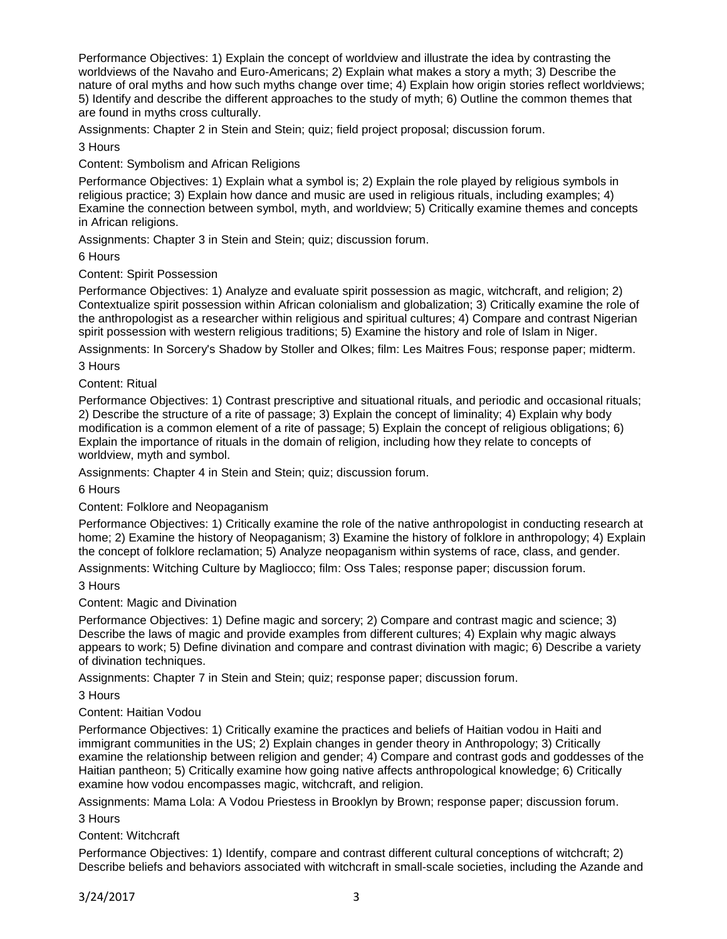Performance Objectives: 1) Explain the concept of worldview and illustrate the idea by contrasting the worldviews of the Navaho and Euro-Americans; 2) Explain what makes a story a myth; 3) Describe the nature of oral myths and how such myths change over time; 4) Explain how origin stories reflect worldviews; 5) Identify and describe the different approaches to the study of myth; 6) Outline the common themes that are found in myths cross culturally.

Assignments: Chapter 2 in Stein and Stein; quiz; field project proposal; discussion forum.

3 Hours

Content: Symbolism and African Religions

Performance Objectives: 1) Explain what a symbol is; 2) Explain the role played by religious symbols in religious practice; 3) Explain how dance and music are used in religious rituals, including examples; 4) Examine the connection between symbol, myth, and worldview; 5) Critically examine themes and concepts in African religions.

Assignments: Chapter 3 in Stein and Stein; quiz; discussion forum.

6 Hours

Content: Spirit Possession

Performance Objectives: 1) Analyze and evaluate spirit possession as magic, witchcraft, and religion; 2) Contextualize spirit possession within African colonialism and globalization; 3) Critically examine the role of the anthropologist as a researcher within religious and spiritual cultures; 4) Compare and contrast Nigerian spirit possession with western religious traditions; 5) Examine the history and role of Islam in Niger.

Assignments: In Sorcery's Shadow by Stoller and Olkes; film: Les Maitres Fous; response paper; midterm.

3 Hours

Content: Ritual

Performance Objectives: 1) Contrast prescriptive and situational rituals, and periodic and occasional rituals; 2) Describe the structure of a rite of passage; 3) Explain the concept of liminality; 4) Explain why body modification is a common element of a rite of passage; 5) Explain the concept of religious obligations; 6) Explain the importance of rituals in the domain of religion, including how they relate to concepts of worldview, myth and symbol.

Assignments: Chapter 4 in Stein and Stein; quiz; discussion forum.

6 Hours

Content: Folklore and Neopaganism

Performance Objectives: 1) Critically examine the role of the native anthropologist in conducting research at home; 2) Examine the history of Neopaganism; 3) Examine the history of folklore in anthropology; 4) Explain the concept of folklore reclamation; 5) Analyze neopaganism within systems of race, class, and gender.

Assignments: Witching Culture by Magliocco; film: Oss Tales; response paper; discussion forum.

#### 3 Hours

Content: Magic and Divination

Performance Objectives: 1) Define magic and sorcery; 2) Compare and contrast magic and science; 3) Describe the laws of magic and provide examples from different cultures; 4) Explain why magic always appears to work; 5) Define divination and compare and contrast divination with magic; 6) Describe a variety of divination techniques.

Assignments: Chapter 7 in Stein and Stein; quiz; response paper; discussion forum.

3 Hours

# Content: Haitian Vodou

Performance Objectives: 1) Critically examine the practices and beliefs of Haitian vodou in Haiti and immigrant communities in the US; 2) Explain changes in gender theory in Anthropology; 3) Critically examine the relationship between religion and gender; 4) Compare and contrast gods and goddesses of the Haitian pantheon; 5) Critically examine how going native affects anthropological knowledge; 6) Critically examine how vodou encompasses magic, witchcraft, and religion.

Assignments: Mama Lola: A Vodou Priestess in Brooklyn by Brown; response paper; discussion forum. 3 Hours

Content: Witchcraft

Performance Objectives: 1) Identify, compare and contrast different cultural conceptions of witchcraft; 2) Describe beliefs and behaviors associated with witchcraft in small-scale societies, including the Azande and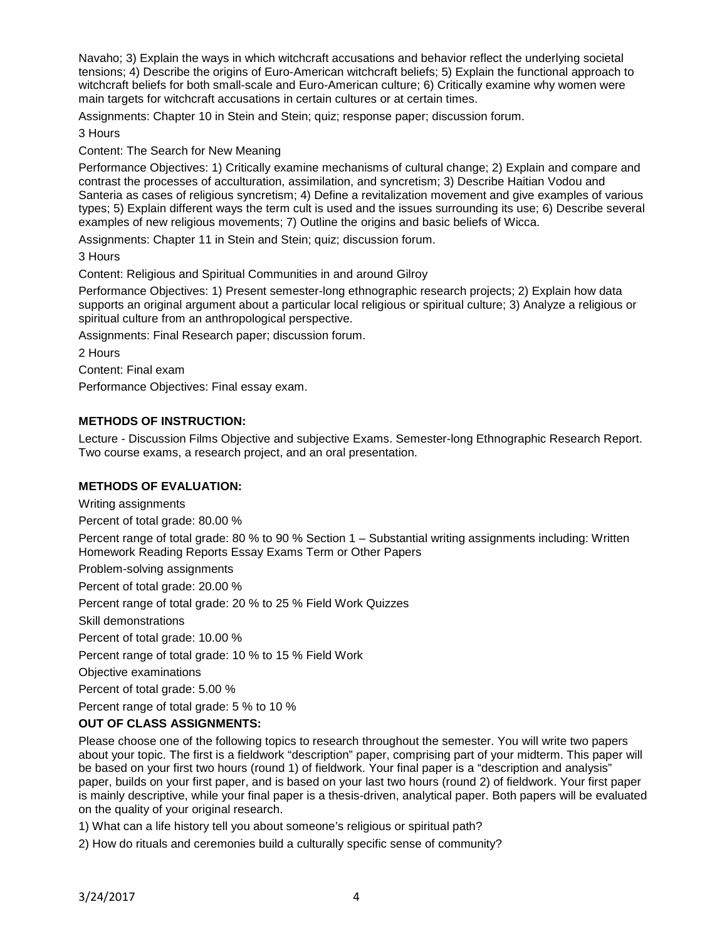Navaho; 3) Explain the ways in which witchcraft accusations and behavior reflect the underlying societal tensions; 4) Describe the origins of Euro-American witchcraft beliefs; 5) Explain the functional approach to witchcraft beliefs for both small-scale and Euro-American culture; 6) Critically examine why women were main targets for witchcraft accusations in certain cultures or at certain times.

Assignments: Chapter 10 in Stein and Stein; quiz; response paper; discussion forum.

3 Hours

Content: The Search for New Meaning

Performance Objectives: 1) Critically examine mechanisms of cultural change; 2) Explain and compare and contrast the processes of acculturation, assimilation, and syncretism; 3) Describe Haitian Vodou and Santeria as cases of religious syncretism; 4) Define a revitalization movement and give examples of various types; 5) Explain different ways the term cult is used and the issues surrounding its use; 6) Describe several examples of new religious movements; 7) Outline the origins and basic beliefs of Wicca.

Assignments: Chapter 11 in Stein and Stein; quiz; discussion forum.

3 Hours

Content: Religious and Spiritual Communities in and around Gilroy

Performance Objectives: 1) Present semester-long ethnographic research projects; 2) Explain how data supports an original argument about a particular local religious or spiritual culture; 3) Analyze a religious or spiritual culture from an anthropological perspective.

Assignments: Final Research paper; discussion forum.

2 Hours

Content: Final exam

Performance Objectives: Final essay exam.

# **METHODS OF INSTRUCTION:**

Lecture - Discussion Films Objective and subjective Exams. Semester-long Ethnographic Research Report. Two course exams, a research project, and an oral presentation.

# **METHODS OF EVALUATION:**

Writing assignments

Percent of total grade: 80.00 %

Percent range of total grade: 80 % to 90 % Section 1 – Substantial writing assignments including: Written Homework Reading Reports Essay Exams Term or Other Papers

Problem-solving assignments

Percent of total grade: 20.00 %

Percent range of total grade: 20 % to 25 % Field Work Quizzes

Skill demonstrations

Percent of total grade: 10.00 %

Percent range of total grade: 10 % to 15 % Field Work

Objective examinations

Percent of total grade: 5.00 %

Percent range of total grade: 5 % to 10 %

# **OUT OF CLASS ASSIGNMENTS:**

Please choose one of the following topics to research throughout the semester. You will write two papers about your topic. The first is a fieldwork "description" paper, comprising part of your midterm. This paper will be based on your first two hours (round 1) of fieldwork. Your final paper is a "description and analysis" paper, builds on your first paper, and is based on your last two hours (round 2) of fieldwork. Your first paper is mainly descriptive, while your final paper is a thesis-driven, analytical paper. Both papers will be evaluated on the quality of your original research.

1) What can a life history tell you about someone's religious or spiritual path?

2) How do rituals and ceremonies build a culturally specific sense of community?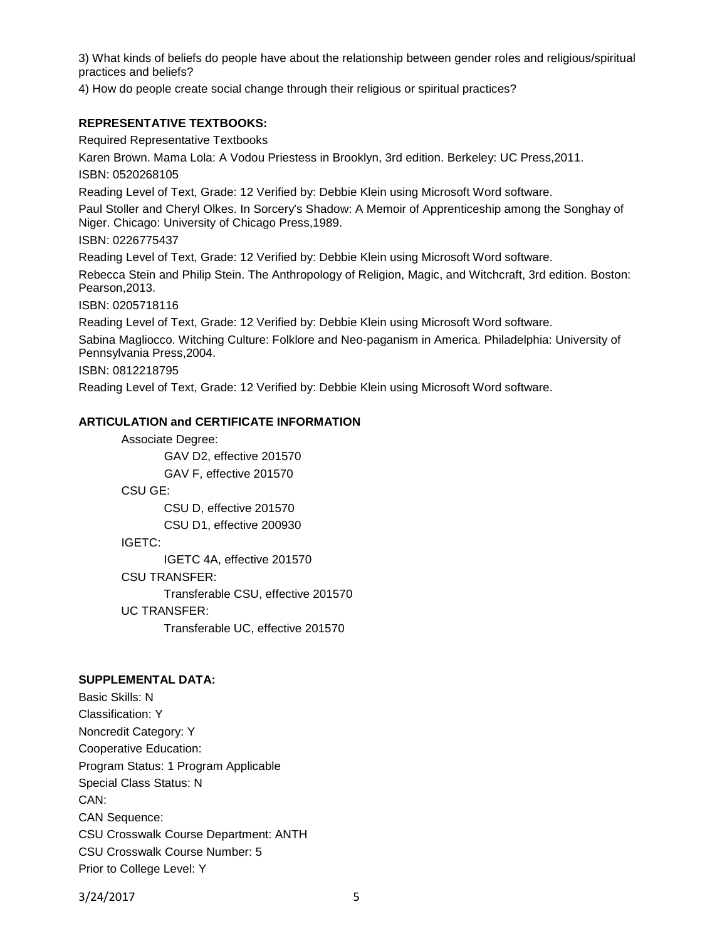3) What kinds of beliefs do people have about the relationship between gender roles and religious/spiritual practices and beliefs?

4) How do people create social change through their religious or spiritual practices?

#### **REPRESENTATIVE TEXTBOOKS:**

Required Representative Textbooks

Karen Brown. Mama Lola: A Vodou Priestess in Brooklyn, 3rd edition. Berkeley: UC Press,2011. ISBN: 0520268105

Reading Level of Text, Grade: 12 Verified by: Debbie Klein using Microsoft Word software.

Paul Stoller and Cheryl Olkes. In Sorcery's Shadow: A Memoir of Apprenticeship among the Songhay of Niger. Chicago: University of Chicago Press,1989.

ISBN: 0226775437

Reading Level of Text, Grade: 12 Verified by: Debbie Klein using Microsoft Word software.

Rebecca Stein and Philip Stein. The Anthropology of Religion, Magic, and Witchcraft, 3rd edition. Boston: Pearson,2013.

ISBN: 0205718116

Reading Level of Text, Grade: 12 Verified by: Debbie Klein using Microsoft Word software.

Sabina Magliocco. Witching Culture: Folklore and Neo-paganism in America. Philadelphia: University of Pennsylvania Press,2004.

ISBN: 0812218795

Reading Level of Text, Grade: 12 Verified by: Debbie Klein using Microsoft Word software.

#### **ARTICULATION and CERTIFICATE INFORMATION**

Associate Degree: GAV D2, effective 201570 GAV F, effective 201570 CSU GE: CSU D, effective 201570 CSU D1, effective 200930 IGETC: IGETC 4A, effective 201570 CSU TRANSFER: Transferable CSU, effective 201570 UC TRANSFER: Transferable UC, effective 201570

#### **SUPPLEMENTAL DATA:**

Basic Skills: N Classification: Y Noncredit Category: Y Cooperative Education: Program Status: 1 Program Applicable Special Class Status: N CAN: CAN Sequence: CSU Crosswalk Course Department: ANTH CSU Crosswalk Course Number: 5 Prior to College Level: Y

3/24/2017 5